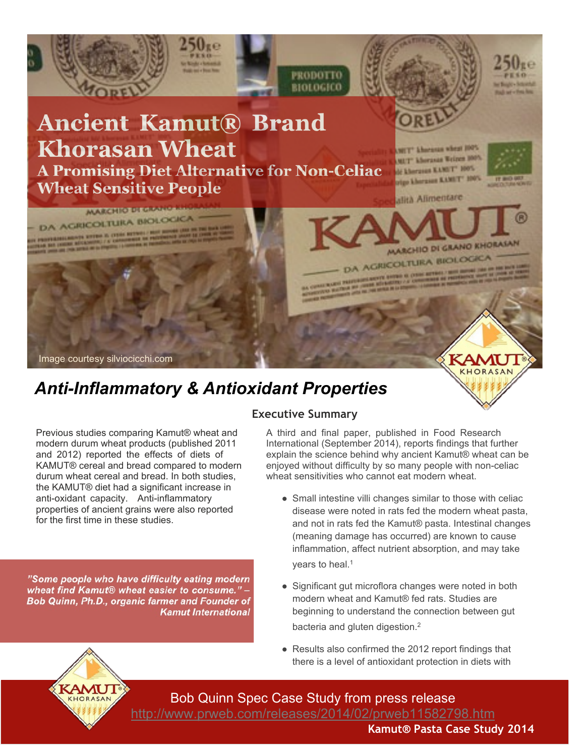

# *Anti-Inflammatory & Antioxidant Properties*

# **Executive Summary**

Previous studies comparing Kamut® wheat and modern durum wheat products (published 2011 and 2012) reported the effects of diets of KAMUT® cereal and bread compared to modern durum wheat cereal and bread. In both studies, the KAMUT® diet had a significant increase in anti-oxidant capacity. Anti-inflammatory properties of ancient grains were also reported for the first time in these studies.

"Some people who have difficulty eating modern wheat find Kamut® wheat easier to consume." -Bob Quinn, Ph.D., organic farmer and Founder of **Kamut International** 

#### A third and final paper, published in Food Research International (September 2014), reports findings that further explain the science behind why ancient Kamut® wheat can be enjoyed without difficulty by so many people with non-celiac wheat sensitivities who cannot eat modern wheat.

- Small intestine villi changes similar to those with celiac disease were noted in rats fed the modern wheat pasta, and not in rats fed the Kamut® pasta. Intestinal changes (meaning damage has occurred) are known to cause inflammation, affect nutrient absorption, and may take years to heal.<sup>1</sup>
- Significant gut microflora changes were noted in both modern wheat and Kamut® fed rats. Studies are beginning to understand the connection between gut bacteria and gluten digestion.<sup>2</sup>
- Results also confirmed the 2012 report findings that there is a level of antioxidant protection in diets with



Bob Quinn Spec Case Study from press release <http://www.prweb.com/releases/2014/02/prweb11582798.htm>

**Kamut® Pasta Case Study 2014**